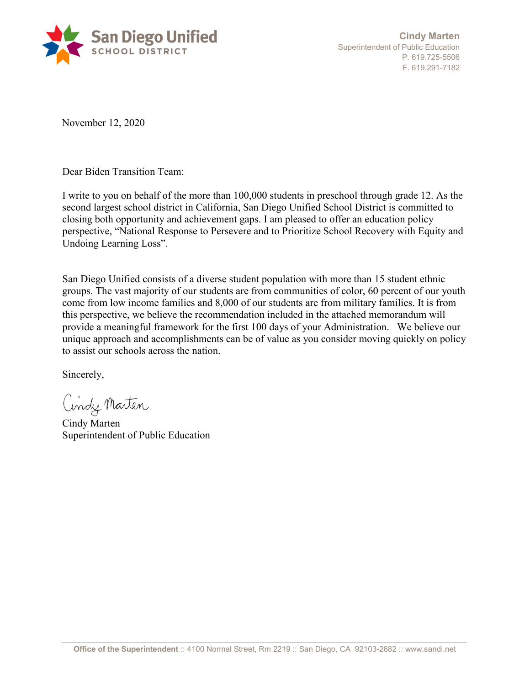

**Cindy Marten**  Superintendent of Public Education P. 619.725-5506 F. 619.291-7182

November 12, 2020

Dear Biden Transition Team:

I write to you on behalf of the more than 100,000 students in preschool through grade 12. As the second largest school district in California, San Diego Unified School District is committed to closing both opportunity and achievement gaps. I am pleased to offer an education policy perspective, "National Response to Persevere and to Prioritize School Recovery with Equity and Undoing Learning Loss".

San Diego Unified consists of a diverse student population with more than 15 student ethnic groups. The vast majority of our students are from communities of color, 60 percent of our youth come from low income families and 8,000 of our students are from military families. It is from this perspective, we believe the recommendation included in the attached memorandum will provide a meaningful framework for the first 100 days of your Administration. We believe our unique approach and accomplishments can be of value as you consider moving quickly on policy to assist our schools across the nation.

Sincerely,

Cindy Marten

Cindy Marten Superintendent of Public Education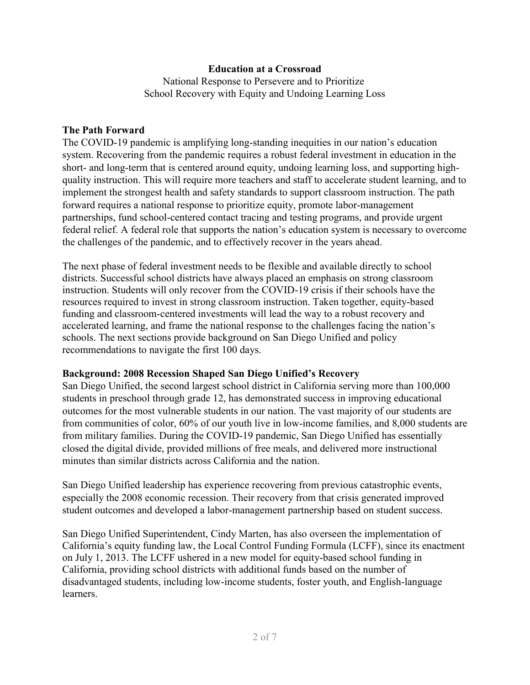## **Education at a Crossroad**

National Response to Persevere and to Prioritize School Recovery with Equity and Undoing Learning Loss

### **The Path Forward**

The COVID-19 pandemic is amplifying long-standing inequities in our nation's education system. Recovering from the pandemic requires a robust federal investment in education in the short- and long-term that is centered around equity, undoing learning loss, and supporting highquality instruction. This will require more teachers and staff to accelerate student learning, and to implement the strongest health and safety standards to support classroom instruction. The path forward requires a national response to prioritize equity, promote labor-management partnerships, fund school-centered contact tracing and testing programs, and provide urgent federal relief. A federal role that supports the nation's education system is necessary to overcome the challenges of the pandemic, and to effectively recover in the years ahead.

The next phase of federal investment needs to be flexible and available directly to school districts. Successful school districts have always placed an emphasis on strong classroom instruction. Students will only recover from the COVID-19 crisis if their schools have the resources required to invest in strong classroom instruction. Taken together, equity-based funding and classroom-centered investments will lead the way to a robust recovery and accelerated learning, and frame the national response to the challenges facing the nation's schools. The next sections provide background on San Diego Unified and policy recommendations to navigate the first 100 days.

## **Background: 2008 Recession Shaped San Diego Unified's Recovery**

San Diego Unified, the second largest school district in California serving more than 100,000 students in preschool through grade 12, has demonstrated success in improving educational outcomes for the most vulnerable students in our nation. The vast majority of our students are from communities of color, 60% of our youth live in low-income families, and 8,000 students are from military families. During the COVID-19 pandemic, San Diego Unified has essentially closed the digital divide, provided millions of free meals, and delivered more instructional minutes than similar districts across California and the nation.

San Diego Unified leadership has experience recovering from previous catastrophic events, especially the 2008 economic recession. Their recovery from that crisis generated improved student outcomes and developed a labor-management partnership based on student success.

San Diego Unified Superintendent, Cindy Marten, has also overseen the implementation of California's equity funding law, the Local Control Funding Formula (LCFF), since its enactment on July 1, 2013. The LCFF ushered in a new model for equity-based school funding in California, providing school districts with additional funds based on the number of disadvantaged students, including low-income students, foster youth, and English-language learners.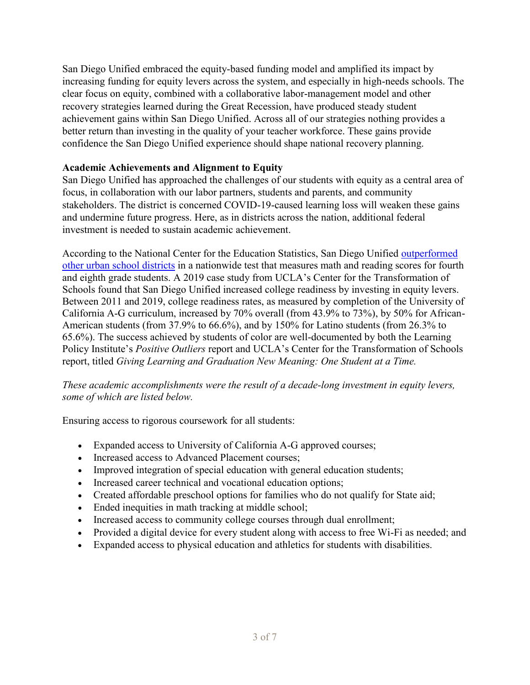San Diego Unified embraced the equity-based funding model and amplified its impact by increasing funding for equity levers across the system, and especially in high-needs schools. The clear focus on equity, combined with a collaborative labor-management model and other recovery strategies learned during the Great Recession, have produced steady student achievement gains within San Diego Unified. Across all of our strategies nothing provides a better return than investing in the quality of your teacher workforce. These gains provide confidence the San Diego Unified experience should shape national recovery planning.

# **Academic Achievements and Alignment to Equity**

San Diego Unified has approached the challenges of our students with equity as a central area of focus, in collaboration with our labor partners, students and parents, and community stakeholders. The district is concerned COVID-19-caused learning loss will weaken these gains and undermine future progress. Here, as in districts across the nation, additional federal investment is needed to sustain academic achievement.

According to the National Center for the Education Statistics, San Diego Unified outperformed other urban school districts in a nationwide test that measures math and reading scores for fourth and eighth grade students. A 2019 case study from UCLA's Center for the Transformation of Schools found that San Diego Unified increased college readiness by investing in equity levers. Between 2011 and 2019, college readiness rates, as measured by completion of the University of California A-G curriculum, increased by 70% overall (from 43.9% to 73%), by 50% for African-American students (from 37.9% to 66.6%), and by 150% for Latino students (from 26.3% to 65.6%). The success achieved by students of color are well-documented by both the Learning Policy Institute's *Positive Outliers* report and UCLA's Center for the Transformation of Schools report, titled *Giving Learning and Graduation New Meaning: One Student at a Time.*

*These academic accomplishments were the result of a decade-long investment in equity levers, some of which are listed below.*

Ensuring access to rigorous coursework for all students:

- Expanded access to University of California A-G approved courses;
- Increased access to Advanced Placement courses;
- Improved integration of special education with general education students;
- Increased career technical and vocational education options;
- Created affordable preschool options for families who do not qualify for State aid;
- Ended inequities in math tracking at middle school;
- Increased access to community college courses through dual enrollment;
- Provided a digital device for every student along with access to free Wi-Fi as needed; and
- Expanded access to physical education and athletics for students with disabilities.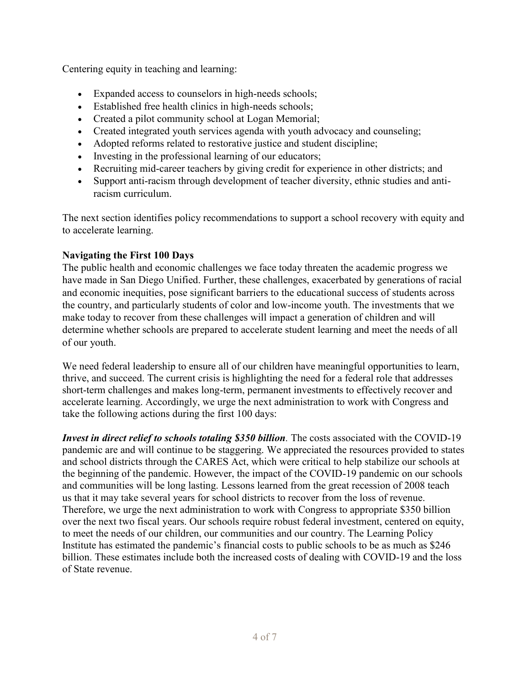Centering equity in teaching and learning:

- Expanded access to counselors in high-needs schools;
- Established free health clinics in high-needs schools;
- Created a pilot community school at Logan Memorial;
- Created integrated youth services agenda with youth advocacy and counseling;
- Adopted reforms related to restorative justice and student discipline;
- Investing in the professional learning of our educators;
- Recruiting mid-career teachers by giving credit for experience in other districts; and
- Support anti-racism through development of teacher diversity, ethnic studies and antiracism curriculum.

The next section identifies policy recommendations to support a school recovery with equity and to accelerate learning.

# **Navigating the First 100 Days**

The public health and economic challenges we face today threaten the academic progress we have made in San Diego Unified. Further, these challenges, exacerbated by generations of racial and economic inequities, pose significant barriers to the educational success of students across the country, and particularly students of color and low-income youth. The investments that we make today to recover from these challenges will impact a generation of children and will determine whether schools are prepared to accelerate student learning and meet the needs of all of our youth.

We need federal leadership to ensure all of our children have meaningful opportunities to learn, thrive, and succeed. The current crisis is highlighting the need for a federal role that addresses short-term challenges and makes long-term, permanent investments to effectively recover and accelerate learning. Accordingly, we urge the next administration to work with Congress and take the following actions during the first 100 days:

*Invest in direct relief to schools totaling \$350 billion.* The costs associated with the COVID-19 pandemic are and will continue to be staggering. We appreciated the resources provided to states and school districts through the CARES Act, which were critical to help stabilize our schools at the beginning of the pandemic. However, the impact of the COVID-19 pandemic on our schools and communities will be long lasting. Lessons learned from the great recession of 2008 teach us that it may take several years for school districts to recover from the loss of revenue. Therefore, we urge the next administration to work with Congress to appropriate \$350 billion over the next two fiscal years. Our schools require robust federal investment, centered on equity, to meet the needs of our children, our communities and our country. The Learning Policy Institute has estimated the pandemic's financial costs to public schools to be as much as \$246 billion. These estimates include both the increased costs of dealing with COVID-19 and the loss of State revenue.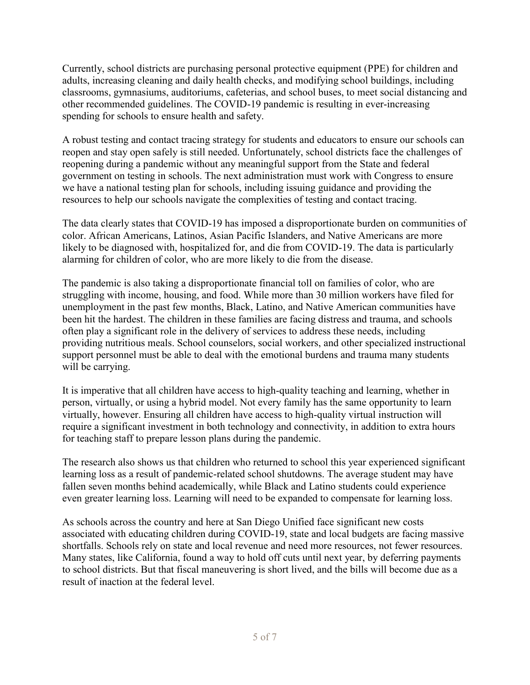Currently, school districts are purchasing personal protective equipment (PPE) for children and adults, increasing cleaning and daily health checks, and modifying school buildings, including classrooms, gymnasiums, auditoriums, cafeterias, and school buses, to meet social distancing and other recommended guidelines. The COVID-19 pandemic is resulting in ever-increasing spending for schools to ensure health and safety.

A robust testing and contact tracing strategy for students and educators to ensure our schools can reopen and stay open safely is still needed. Unfortunately, school districts face the challenges of reopening during a pandemic without any meaningful support from the State and federal government on testing in schools. The next administration must work with Congress to ensure we have a national testing plan for schools, including issuing guidance and providing the resources to help our schools navigate the complexities of testing and contact tracing.

The data clearly states that COVID-19 has imposed a disproportionate burden on communities of color. African Americans, Latinos, Asian Pacific Islanders, and Native Americans are more likely to be diagnosed with, hospitalized for, and die from COVID-19. The data is particularly alarming for children of color, who are more likely to die from the disease.

The pandemic is also taking a disproportionate financial toll on families of color, who are struggling with income, housing, and food. While more than 30 million workers have filed for unemployment in the past few months, Black, Latino, and Native American communities have been hit the hardest. The children in these families are facing distress and trauma, and schools often play a significant role in the delivery of services to address these needs, including providing nutritious meals. School counselors, social workers, and other specialized instructional support personnel must be able to deal with the emotional burdens and trauma many students will be carrying.

It is imperative that all children have access to high-quality teaching and learning, whether in person, virtually, or using a hybrid model. Not every family has the same opportunity to learn virtually, however. Ensuring all children have access to high-quality virtual instruction will require a significant investment in both technology and connectivity, in addition to extra hours for teaching staff to prepare lesson plans during the pandemic.

The research also shows us that children who returned to school this year experienced significant learning loss as a result of pandemic-related school shutdowns. The average student may have fallen seven months behind academically, while Black and Latino students could experience even greater learning loss. Learning will need to be expanded to compensate for learning loss.

As schools across the country and here at San Diego Unified face significant new costs associated with educating children during COVID-19, state and local budgets are facing massive shortfalls. Schools rely on state and local revenue and need more resources, not fewer resources. Many states, like California, found a way to hold off cuts until next year, by deferring payments to school districts. But that fiscal maneuvering is short lived, and the bills will become due as a result of inaction at the federal level.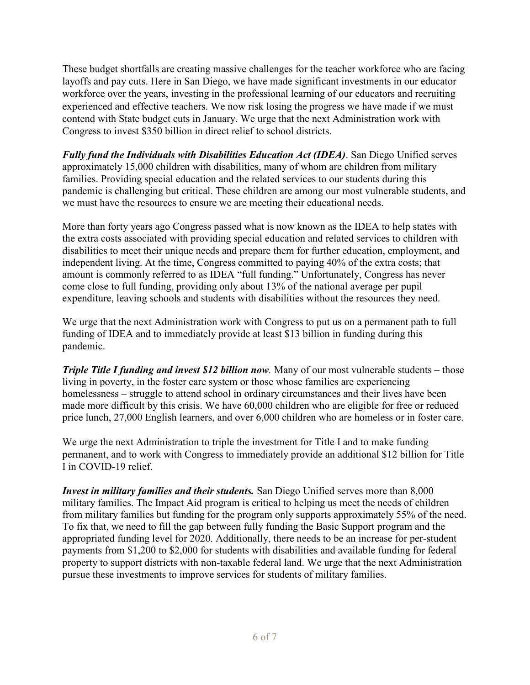These budget shortfalls are creating massive challenges for the teacher workforce who are facing layoffs and pay cuts. Here in San Diego, we have made significant investments in our educator workforce over the years, investing in the professional learning of our educators and recruiting experienced and effective teachers. We now risk losing the progress we have made if we must contend with State budget cuts in January. We urge that the next Administration work with Congress to invest \$350 billion in direct relief to school districts.

*Fully fund the Individuals with Disabilities Education Act (IDEA)*. San Diego Unified serves approximately 15,000 children with disabilities, many of whom are children from military families. Providing special education and the related services to our students during this pandemic is challenging but critical. These children are among our most vulnerable students, and we must have the resources to ensure we are meeting their educational needs.

More than forty years ago Congress passed what is now known as the IDEA to help states with the extra costs associated with providing special education and related services to children with disabilities to meet their unique needs and prepare them for further education, employment, and independent living. At the time, Congress committed to paying 40% of the extra costs; that amount is commonly referred to as IDEA "full funding." Unfortunately, Congress has never come close to full funding, providing only about 13% of the national average per pupil expenditure, leaving schools and students with disabilities without the resources they need.

We urge that the next Administration work with Congress to put us on a permanent path to full funding of IDEA and to immediately provide at least \$13 billion in funding during this pandemic.

*Triple Title I funding and invest \$12 billion now.* Many of our most vulnerable students – those living in poverty, in the foster care system or those whose families are experiencing homelessness – struggle to attend school in ordinary circumstances and their lives have been made more difficult by this crisis. We have 60,000 children who are eligible for free or reduced price lunch, 27,000 English learners, and over 6,000 children who are homeless or in foster care.

We urge the next Administration to triple the investment for Title I and to make funding permanent, and to work with Congress to immediately provide an additional \$12 billion for Title I in COVID-19 relief.

*Invest in military families and their students.* San Diego Unified serves more than 8,000 military families. The Impact Aid program is critical to helping us meet the needs of children from military families but funding for the program only supports approximately 55% of the need. To fix that, we need to fill the gap between fully funding the Basic Support program and the appropriated funding level for 2020. Additionally, there needs to be an increase for per-student payments from \$1,200 to \$2,000 for students with disabilities and available funding for federal property to support districts with non-taxable federal land. We urge that the next Administration pursue these investments to improve services for students of military families.